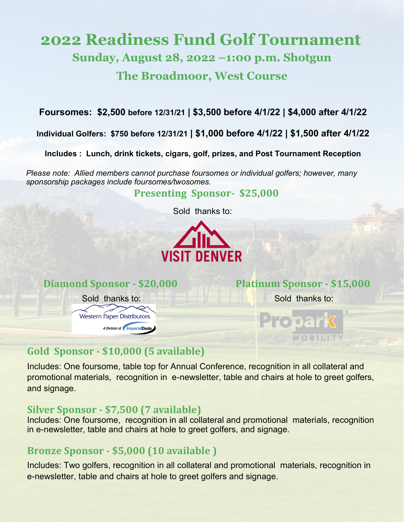# **2022 Readiness Fund Golf Tournament Sunday, August 28, 2022 –1:00 p.m. Shotgun The Broadmoor, West Course**

**Foursomes: \$2,500 before 12/31/21 | \$3,500 before 4/1/22 | \$4,000 after 4/1/22**

**Individual Golfers: \$750 before 12/31/21 | \$1,000 before 4/1/22 | \$1,500 after 4/1/22**

**Includes : Lunch, drink tickets, cigars, golf, prizes, and Post Tournament Reception** 

*Please note: Allied members cannot purchase foursomes or individual golfers; however, many sponsorship packages include foursomes/twosomes.*

 **Presenting Sponsor- \$25,000** 

Sold thanks to:





# **Gold Sponsor - \$10,000 (5 available)**

Includes: One foursome, table top for Annual Conference, recognition in all collateral and promotional materials, recognition in e-newsletter, table and chairs at hole to greet golfers, and signage.

#### **Silver Sponsor - \$7,500 (7 available)**

Includes: One foursome, recognition in all collateral and promotional materials, recognition in e-newsletter, table and chairs at hole to greet golfers, and signage.

# **Bronze Sponsor - \$5,000 (10 available )**

Includes: Two golfers, recognition in all collateral and promotional materials, recognition in e-newsletter, table and chairs at hole to greet golfers and signage.